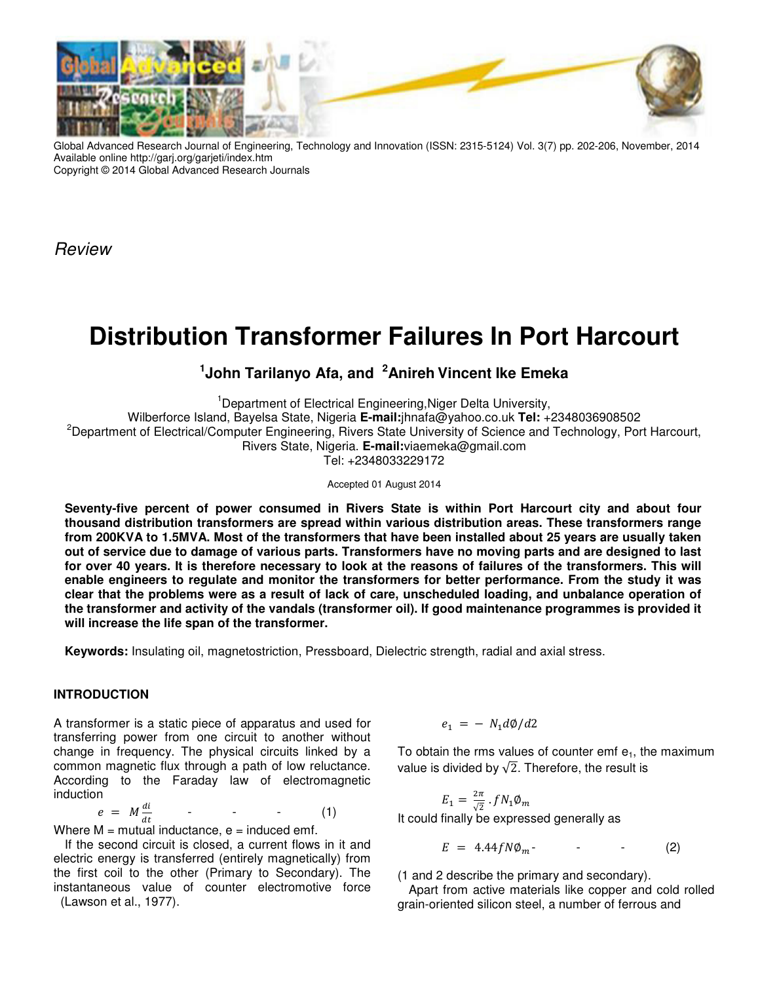

Global Advanced Research Journal of Engineering, Technology and Innovation (ISSN: 2315-5124) Vol. 3(7) pp. 202-206, November, 2014 Available online http://garj.org/garjeti/index.htm Copyright © 2014 Global Advanced Research Journals

Review

# **Distribution Transformer Failures In Port Harcourt**

## **1 John Tarilanyo Afa, and <sup>2</sup>Anireh Vincent Ike Emeka**

<sup>1</sup>Department of Electrical Engineering, Niger Delta University, Wilberforce Island, Bayelsa State, Nigeria **E-mail:**jhnafa@yahoo.co.uk **Tel:** +2348036908502 <sup>2</sup>Department of Electrical/Computer Engineering, Rivers State University of Science and Technology, Port Harcourt, Rivers State, Nigeria. **E-mail:**viaemeka@gmail.com Tel: +2348033229172

Accepted 01 August 2014

**Seventy-five percent of power consumed in Rivers State is within Port Harcourt city and about four thousand distribution transformers are spread within various distribution areas. These transformers range from 200KVA to 1.5MVA. Most of the transformers that have been installed about 25 years are usually taken out of service due to damage of various parts. Transformers have no moving parts and are designed to last for over 40 years. It is therefore necessary to look at the reasons of failures of the transformers. This will enable engineers to regulate and monitor the transformers for better performance. From the study it was clear that the problems were as a result of lack of care, unscheduled loading, and unbalance operation of the transformer and activity of the vandals (transformer oil). If good maintenance programmes is provided it will increase the life span of the transformer.** 

**Keywords:** Insulating oil, magnetostriction, Pressboard, Dielectric strength, radial and axial stress.

## **INTRODUCTION**

A transformer is a static piece of apparatus and used for transferring power from one circuit to another without change in frequency. The physical circuits linked by a common magnetic flux through a path of low reluctance. According to the Faraday law of electromagnetic induction

$$
e = M \frac{di}{dt} \qquad - \qquad - \qquad (1)
$$

Where  $M =$  mutual inductance,  $e =$  induced emf.

If the second circuit is closed, a current flows in it and electric energy is transferred (entirely magnetically) from the first coil to the other (Primary to Secondary). The instantaneous value of counter electromotive force (Lawson et al., 1977).

$$
e_1 = - N_1 d\phi/d2
$$

To obtain the rms values of counter emf  $e_1$ , the maximum value is divided by  $\sqrt{2}$ . Therefore, the result is

$$
E_1 = \frac{2\pi}{\sqrt{2}} \cdot fN_1 \phi_m
$$
  
It could finally be expressed generally as

$$
E = 4.44fN\phi_m \qquad \qquad - \qquad (2)
$$

(1 and 2 describe the primary and secondary).

Apart from active materials like copper and cold rolled grain-oriented silicon steel, a number of ferrous and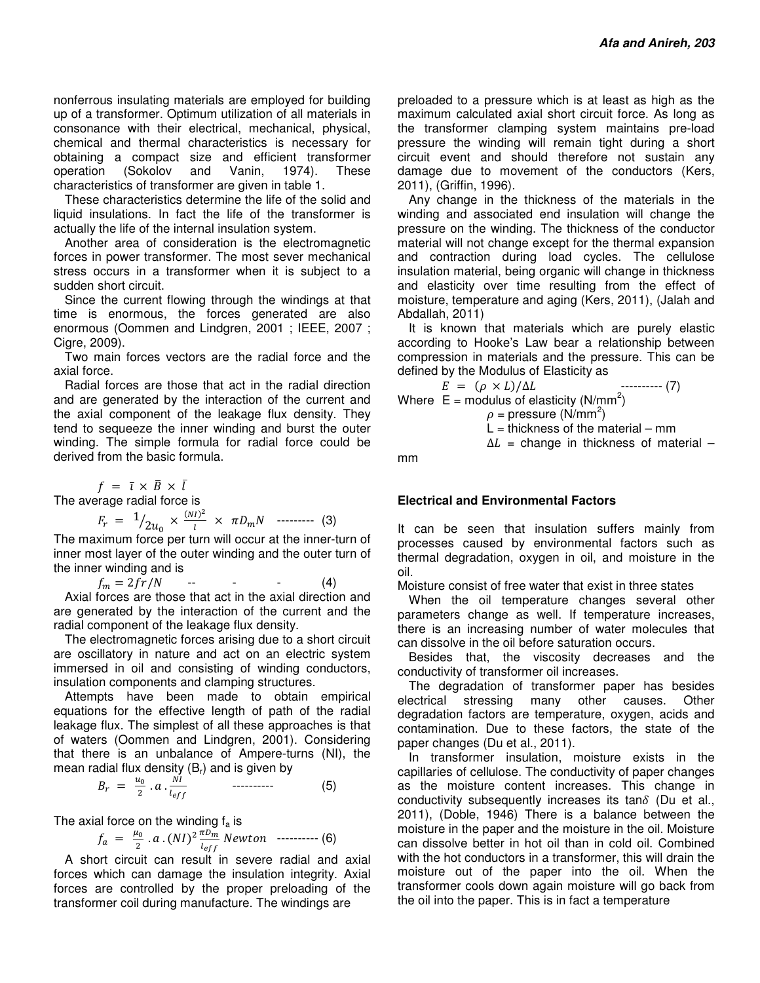nonferrous insulating materials are employed for building up of a transformer. Optimum utilization of all materials in consonance with their electrical, mechanical, physical, chemical and thermal characteristics is necessary for obtaining a compact size and efficient transformer operation (Sokolov and Vanin, 1974). These characteristics of transformer are given in table 1.

These characteristics determine the life of the solid and liquid insulations. In fact the life of the transformer is actually the life of the internal insulation system.

Another area of consideration is the electromagnetic forces in power transformer. The most sever mechanical stress occurs in a transformer when it is subject to a sudden short circuit.

Since the current flowing through the windings at that time is enormous, the forces generated are also enormous (Oommen and Lindgren, 2001 ; IEEE, 2007 ; Cigre, 2009).

Two main forces vectors are the radial force and the axial force.

Radial forces are those that act in the radial direction and are generated by the interaction of the current and the axial component of the leakage flux density. They tend to sequeeze the inner winding and burst the outer winding. The simple formula for radial force could be derived from the basic formula.

 $f = \bar{\iota} \times \bar{B} \times \bar{\iota}$ 

The average radial force is

$$
F_r = \frac{1}{2u_0} \times \frac{(NI)^2}{l} \times \pi D_m N \quad \text{---} \quad (3)
$$

The maximum force per turn will occur at the inner-turn of inner most layer of the outer winding and the outer turn of the inner winding and is

 $f_m = 2fr/N$  $(4)$ 

Axial forces are those that act in the axial direction and are generated by the interaction of the current and the radial component of the leakage flux density.

The electromagnetic forces arising due to a short circuit are oscillatory in nature and act on an electric system immersed in oil and consisting of winding conductors, insulation components and clamping structures.

Attempts have been made to obtain empirical equations for the effective length of path of the radial leakage flux. The simplest of all these approaches is that of waters (Oommen and Lindgren, 2001). Considering that there is an unbalance of Ampere-turns (NI), the mean radial flux density  $(B_r)$  and is given by

$$
B_r = \frac{u_0}{2} \cdot a \cdot \frac{NI}{l_{eff}} \qquad \qquad \qquad (5)
$$

The axial force on the winding  $f_a$  is

$$
f_a = \frac{\mu_0}{2} \cdot a \cdot (NI)^2 \frac{\pi D_m}{l_{eff}} \; Newton \; \; \cdots \; \; (6)
$$

A short circuit can result in severe radial and axial forces which can damage the insulation integrity. Axial forces are controlled by the proper preloading of the transformer coil during manufacture. The windings are

preloaded to a pressure which is at least as high as the maximum calculated axial short circuit force. As long as the transformer clamping system maintains pre-load pressure the winding will remain tight during a short circuit event and should therefore not sustain any damage due to movement of the conductors (Kers, 2011), (Griffin, 1996).

Any change in the thickness of the materials in the winding and associated end insulation will change the pressure on the winding. The thickness of the conductor material will not change except for the thermal expansion and contraction during load cycles. The cellulose insulation material, being organic will change in thickness and elasticity over time resulting from the effect of moisture, temperature and aging (Kers, 2011), (Jalah and Abdallah, 2011)

It is known that materials which are purely elastic according to Hooke's Law bear a relationship between compression in materials and the pressure. This can be defined by the Modulus of Elasticity as

 $E = (\rho \times L)/\Delta L$  --------- (7) Where  $E =$  modulus of elasticity (N/mm<sup>2</sup>)  $\rho$  = pressure (N/mm<sup>2</sup>)  $L =$  thickness of the material – mm  $\Delta L$  = change in thickness of material –

mm

## **Electrical and Environmental Factors**

It can be seen that insulation suffers mainly from processes caused by environmental factors such as thermal degradation, oxygen in oil, and moisture in the oil.

Moisture consist of free water that exist in three states

When the oil temperature changes several other parameters change as well. If temperature increases, there is an increasing number of water molecules that can dissolve in the oil before saturation occurs.

Besides that, the viscosity decreases and the conductivity of transformer oil increases.

The degradation of transformer paper has besides electrical stressing many other causes. Other degradation factors are temperature, oxygen, acids and contamination. Due to these factors, the state of the paper changes (Du et al., 2011).

In transformer insulation, moisture exists in the capillaries of cellulose. The conductivity of paper changes as the moisture content increases. This change in conductivity subsequently increases its tan $\delta$  (Du et al., 2011), (Doble, 1946) There is a balance between the moisture in the paper and the moisture in the oil. Moisture can dissolve better in hot oil than in cold oil. Combined with the hot conductors in a transformer, this will drain the moisture out of the paper into the oil. When the transformer cools down again moisture will go back from the oil into the paper. This is in fact a temperature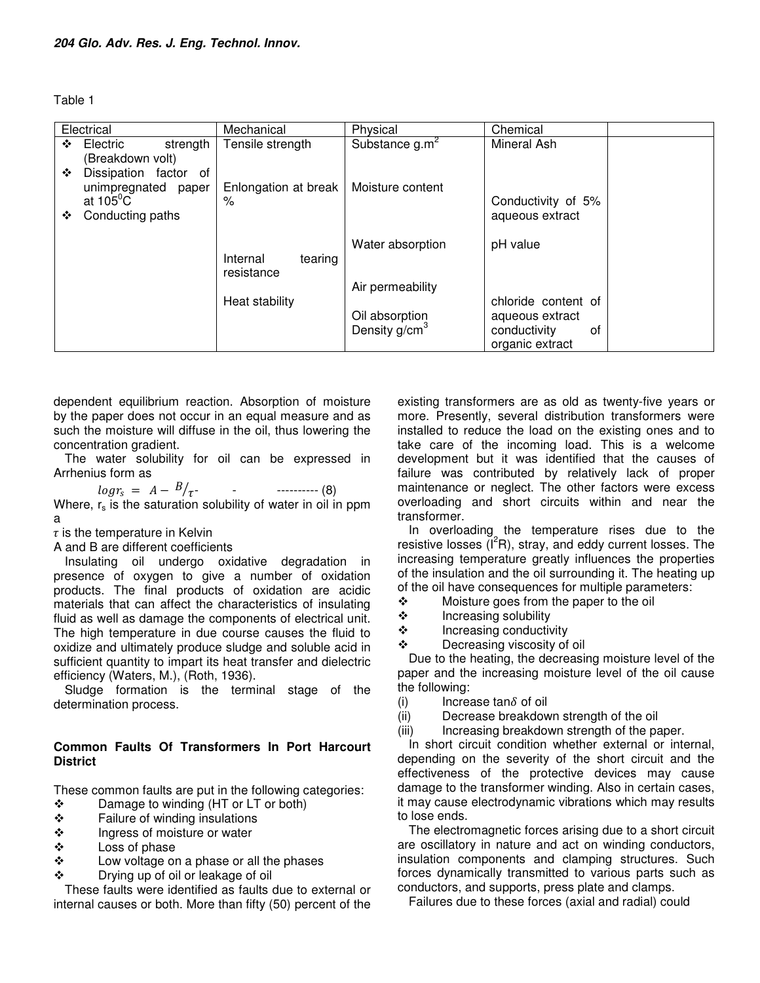Table 1

| Electrical                 | Mechanical           | Physical                  | Chemical            |
|----------------------------|----------------------|---------------------------|---------------------|
|                            |                      |                           |                     |
| Electric<br>strength<br>❖  | Tensile strength     | Substance $g.m^2$         | Mineral Ash         |
| (Breakdown volt)           |                      |                           |                     |
| Dissipation factor of<br>❖ |                      |                           |                     |
| unimpregnated paper        | Enlongation at break | Moisture content          |                     |
| at $105^{\circ}$ C         | $\%$                 |                           | Conductivity of 5%  |
| Conducting paths<br>❖      |                      |                           | aqueous extract     |
|                            |                      |                           |                     |
|                            |                      |                           |                     |
|                            |                      | Water absorption          | pH value            |
|                            | tearing<br>Internal  |                           |                     |
|                            | resistance           |                           |                     |
|                            |                      | Air permeability          |                     |
|                            | Heat stability       |                           | chloride content of |
|                            |                      | Oil absorption            | aqueous extract     |
|                            |                      | Density g/cm <sup>3</sup> | conductivity<br>0f  |
|                            |                      |                           | organic extract     |
|                            |                      |                           |                     |

dependent equilibrium reaction. Absorption of moisture by the paper does not occur in an equal measure and as such the moisture will diffuse in the oil, thus lowering the concentration gradient.

The water solubility for oil can be expressed in Arrhenius form as

 $log r_s = A - \frac{B}{\tau}$ - ---------- (8) Where,  $r_s$  is the saturation solubility of water in oil in ppm a

 $\tau$  is the temperature in Kelvin

A and B are different coefficients

Insulating oil undergo oxidative degradation in presence of oxygen to give a number of oxidation products. The final products of oxidation are acidic materials that can affect the characteristics of insulating fluid as well as damage the components of electrical unit. The high temperature in due course causes the fluid to oxidize and ultimately produce sludge and soluble acid in sufficient quantity to impart its heat transfer and dielectric efficiency (Waters, M.), (Roth, 1936).

Sludge formation is the terminal stage of the determination process.

## **Common Faults Of Transformers In Port Harcourt District**

These common faults are put in the following categories:

- $\div$  Damage to winding (HT or LT or both)<br>  $\div$  Failure of winding insulations
- ❖ Failure of winding insulations<br>❖ Ingress of moisture or water
- $\begin{array}{cc}\n\text{\textbullet} & \text{Ingress of moisture or water} \\
\text{\textbullet} & \text{Loss of phase}\n\end{array}$
- Loss of phase
- Low voltage on a phase or all the phases
- Drying up of oil or leakage of oil

These faults were identified as faults due to external or internal causes or both. More than fifty (50) percent of the existing transformers are as old as twenty-five years or more. Presently, several distribution transformers were installed to reduce the load on the existing ones and to take care of the incoming load. This is a welcome development but it was identified that the causes of failure was contributed by relatively lack of proper maintenance or neglect. The other factors were excess overloading and short circuits within and near the transformer.

In overloading the temperature rises due to the resistive losses  $(I^2R)$ , stray, and eddy current losses. The increasing temperature greatly influences the properties of the insulation and the oil surrounding it. The heating up of the oil have consequences for multiple parameters:

- ❖ Moisture goes from the paper to the oil<br>❖ Increasing solubility
- Increasing solubility
- $\div$  Increasing conductivity
- Decreasing viscosity of oil

Due to the heating, the decreasing moisture level of the paper and the increasing moisture level of the oil cause the following:

- (i) Increase tan $\delta$  of oil
- (ii) Decrease breakdown strength of the oil
- (iii) Increasing breakdown strength of the paper.

In short circuit condition whether external or internal, depending on the severity of the short circuit and the effectiveness of the protective devices may cause damage to the transformer winding. Also in certain cases, it may cause electrodynamic vibrations which may results to lose ends.

The electromagnetic forces arising due to a short circuit are oscillatory in nature and act on winding conductors, insulation components and clamping structures. Such forces dynamically transmitted to various parts such as conductors, and supports, press plate and clamps.

Failures due to these forces (axial and radial) could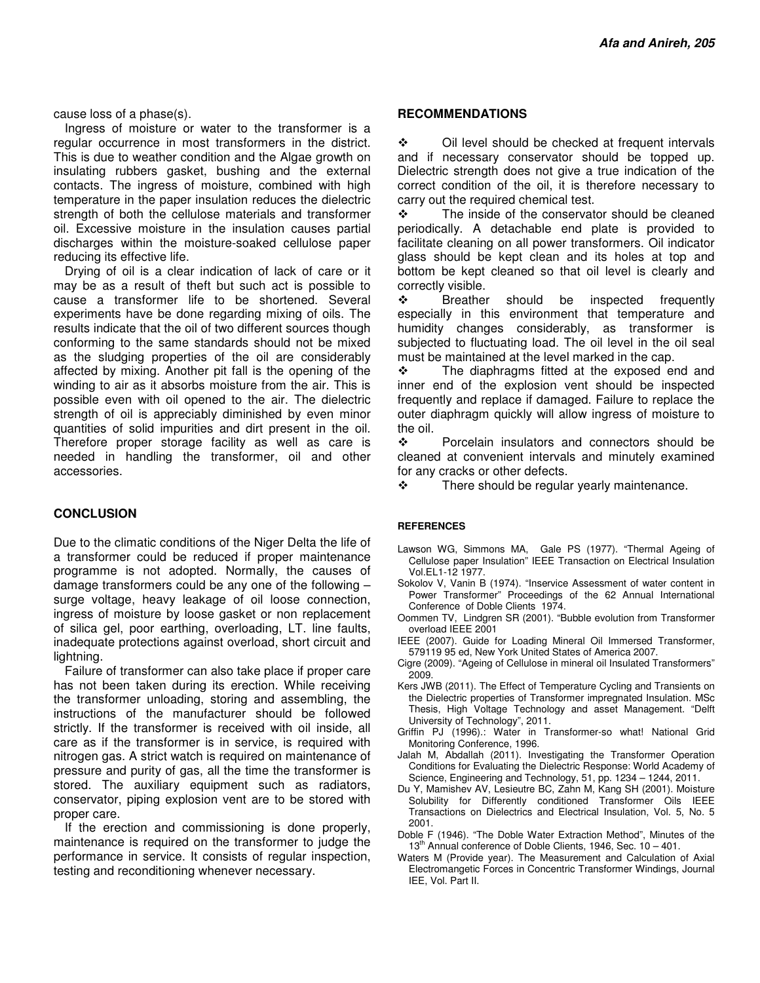cause loss of a phase(s).

Ingress of moisture or water to the transformer is a regular occurrence in most transformers in the district. This is due to weather condition and the Algae growth on insulating rubbers gasket, bushing and the external contacts. The ingress of moisture, combined with high temperature in the paper insulation reduces the dielectric strength of both the cellulose materials and transformer oil. Excessive moisture in the insulation causes partial discharges within the moisture-soaked cellulose paper reducing its effective life.

Drying of oil is a clear indication of lack of care or it may be as a result of theft but such act is possible to cause a transformer life to be shortened. Several experiments have be done regarding mixing of oils. The results indicate that the oil of two different sources though conforming to the same standards should not be mixed as the sludging properties of the oil are considerably affected by mixing. Another pit fall is the opening of the winding to air as it absorbs moisture from the air. This is possible even with oil opened to the air. The dielectric strength of oil is appreciably diminished by even minor quantities of solid impurities and dirt present in the oil. Therefore proper storage facility as well as care is needed in handling the transformer, oil and other accessories.

#### **CONCLUSION**

Due to the climatic conditions of the Niger Delta the life of a transformer could be reduced if proper maintenance programme is not adopted. Normally, the causes of damage transformers could be any one of the following – surge voltage, heavy leakage of oil loose connection, ingress of moisture by loose gasket or non replacement of silica gel, poor earthing, overloading, LT. line faults, inadequate protections against overload, short circuit and lightning.

Failure of transformer can also take place if proper care has not been taken during its erection. While receiving the transformer unloading, storing and assembling, the instructions of the manufacturer should be followed strictly. If the transformer is received with oil inside, all care as if the transformer is in service, is required with nitrogen gas. A strict watch is required on maintenance of pressure and purity of gas, all the time the transformer is stored. The auxiliary equipment such as radiators, conservator, piping explosion vent are to be stored with proper care.

If the erection and commissioning is done properly, maintenance is required on the transformer to judge the performance in service. It consists of regular inspection, testing and reconditioning whenever necessary.

#### **RECOMMENDATIONS**

◆ Oil level should be checked at frequent intervals and if necessary conservator should be topped up. Dielectric strength does not give a true indication of the correct condition of the oil, it is therefore necessary to carry out the required chemical test.

 $\div$  The inside of the conservator should be cleaned periodically. A detachable end plate is provided to facilitate cleaning on all power transformers. Oil indicator glass should be kept clean and its holes at top and bottom be kept cleaned so that oil level is clearly and correctly visible.

\* Breather should be inspected frequently especially in this environment that temperature and humidity changes considerably, as transformer is subjected to fluctuating load. The oil level in the oil seal must be maintained at the level marked in the cap.

 The diaphragms fitted at the exposed end and inner end of the explosion vent should be inspected frequently and replace if damaged. Failure to replace the outer diaphragm quickly will allow ingress of moisture to the oil.

 Porcelain insulators and connectors should be cleaned at convenient intervals and minutely examined for any cracks or other defects.

There should be regular yearly maintenance.

#### **REFERENCES**

- Lawson WG, Simmons MA, Gale PS (1977). "Thermal Ageing of Cellulose paper Insulation" IEEE Transaction on Electrical Insulation Vol.EL1-12 1977.
- Sokolov V, Vanin B (1974). "Inservice Assessment of water content in Power Transformer" Proceedings of the 62 Annual International Conference of Doble Clients 1974.
- Oommen TV, Lindgren SR (2001). "Bubble evolution from Transformer overload IEEE 2001
- IEEE (2007). Guide for Loading Mineral Oil Immersed Transformer, 579119 95 ed, New York United States of America 2007.
- Cigre (2009). "Ageing of Cellulose in mineral oil Insulated Transformers" 2009.
- Kers JWB (2011). The Effect of Temperature Cycling and Transients on the Dielectric properties of Transformer impregnated Insulation. MSc Thesis, High Voltage Technology and asset Management. "Delft University of Technology", 2011.
- Griffin PJ (1996).: Water in Transformer-so what! National Grid Monitoring Conference, 1996.
- Jalah M, Abdallah (2011). Investigating the Transformer Operation Conditions for Evaluating the Dielectric Response: World Academy of Science, Engineering and Technology, 51, pp. 1234 – 1244, 2011.
- Du Y, Mamishev AV, Lesieutre BC, Zahn M, Kang SH (2001). Moisture Solubility for Differently conditioned Transformer Oils IEEE Transactions on Dielectrics and Electrical Insulation, Vol. 5, No. 5 2001.
- Doble F (1946). "The Doble Water Extraction Method", Minutes of the  $13<sup>th</sup>$  Annual conference of Doble Clients, 1946, Sec. 10 – 401.
- Waters M (Provide year). The Measurement and Calculation of Axial Electromangetic Forces in Concentric Transformer Windings, Journal IEE, Vol. Part II.